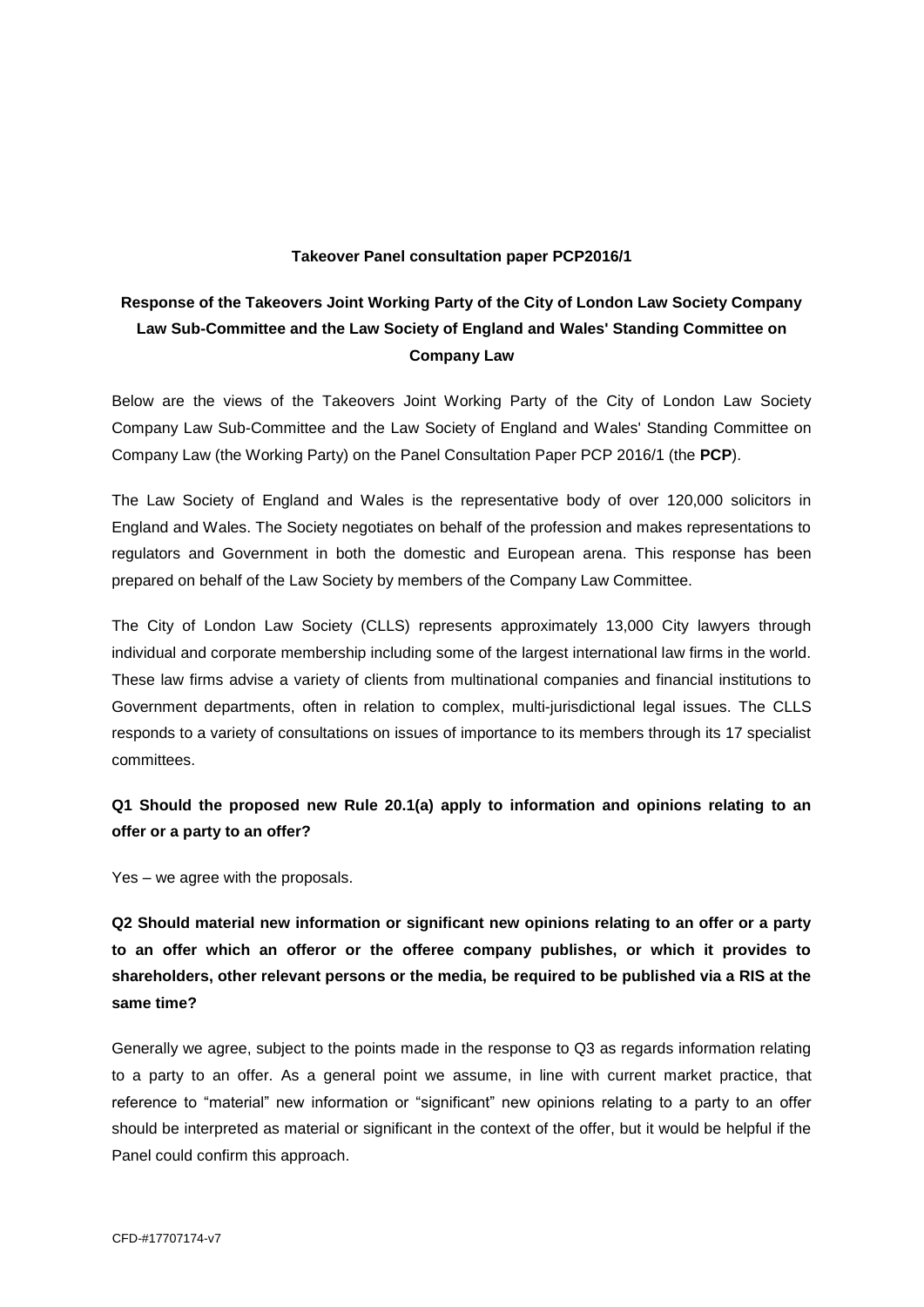#### **Takeover Panel consultation paper PCP2016/1**

# **Response of the Takeovers Joint Working Party of the City of London Law Society Company Law Sub-Committee and the Law Society of England and Wales' Standing Committee on Company Law**

Below are the views of the Takeovers Joint Working Party of the City of London Law Society Company Law Sub-Committee and the Law Society of England and Wales' Standing Committee on Company Law (the Working Party) on the Panel Consultation Paper PCP 2016/1 (the **PCP**).

The Law Society of England and Wales is the representative body of over 120,000 solicitors in England and Wales. The Society negotiates on behalf of the profession and makes representations to regulators and Government in both the domestic and European arena. This response has been prepared on behalf of the Law Society by members of the Company Law Committee.

The City of London Law Society (CLLS) represents approximately 13,000 City lawyers through individual and corporate membership including some of the largest international law firms in the world. These law firms advise a variety of clients from multinational companies and financial institutions to Government departments, often in relation to complex, multi-jurisdictional legal issues. The CLLS responds to a variety of consultations on issues of importance to its members through its 17 specialist committees.

## **Q1 Should the proposed new Rule 20.1(a) apply to information and opinions relating to an offer or a party to an offer?**

Yes – we agree with the proposals.

**Q2 Should material new information or significant new opinions relating to an offer or a party to an offer which an offeror or the offeree company publishes, or which it provides to shareholders, other relevant persons or the media, be required to be published via a RIS at the same time?**

Generally we agree, subject to the points made in the response to Q3 as regards information relating to a party to an offer. As a general point we assume, in line with current market practice, that reference to "material" new information or "significant" new opinions relating to a party to an offer should be interpreted as material or significant in the context of the offer, but it would be helpful if the Panel could confirm this approach.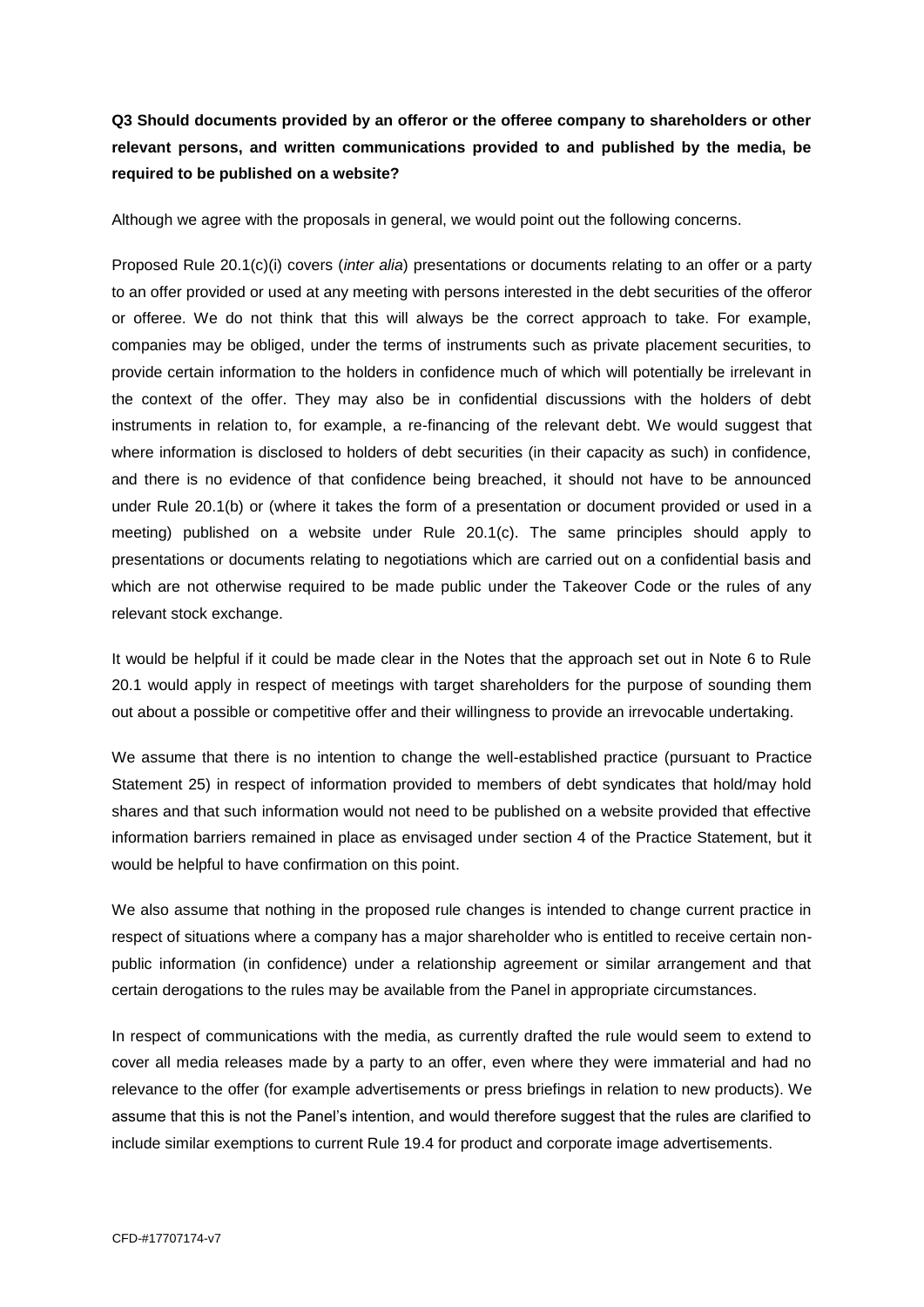# **Q3 Should documents provided by an offeror or the offeree company to shareholders or other relevant persons, and written communications provided to and published by the media, be required to be published on a website?**

Although we agree with the proposals in general, we would point out the following concerns.

Proposed Rule 20.1(c)(i) covers (*inter alia*) presentations or documents relating to an offer or a party to an offer provided or used at any meeting with persons interested in the debt securities of the offeror or offeree. We do not think that this will always be the correct approach to take. For example, companies may be obliged, under the terms of instruments such as private placement securities, to provide certain information to the holders in confidence much of which will potentially be irrelevant in the context of the offer. They may also be in confidential discussions with the holders of debt instruments in relation to, for example, a re-financing of the relevant debt. We would suggest that where information is disclosed to holders of debt securities (in their capacity as such) in confidence, and there is no evidence of that confidence being breached, it should not have to be announced under Rule 20.1(b) or (where it takes the form of a presentation or document provided or used in a meeting) published on a website under Rule 20.1(c). The same principles should apply to presentations or documents relating to negotiations which are carried out on a confidential basis and which are not otherwise required to be made public under the Takeover Code or the rules of any relevant stock exchange.

It would be helpful if it could be made clear in the Notes that the approach set out in Note 6 to Rule 20.1 would apply in respect of meetings with target shareholders for the purpose of sounding them out about a possible or competitive offer and their willingness to provide an irrevocable undertaking.

We assume that there is no intention to change the well-established practice (pursuant to Practice Statement 25) in respect of information provided to members of debt syndicates that hold/may hold shares and that such information would not need to be published on a website provided that effective information barriers remained in place as envisaged under section 4 of the Practice Statement, but it would be helpful to have confirmation on this point.

We also assume that nothing in the proposed rule changes is intended to change current practice in respect of situations where a company has a major shareholder who is entitled to receive certain nonpublic information (in confidence) under a relationship agreement or similar arrangement and that certain derogations to the rules may be available from the Panel in appropriate circumstances.

In respect of communications with the media, as currently drafted the rule would seem to extend to cover all media releases made by a party to an offer, even where they were immaterial and had no relevance to the offer (for example advertisements or press briefings in relation to new products). We assume that this is not the Panel's intention, and would therefore suggest that the rules are clarified to include similar exemptions to current Rule 19.4 for product and corporate image advertisements.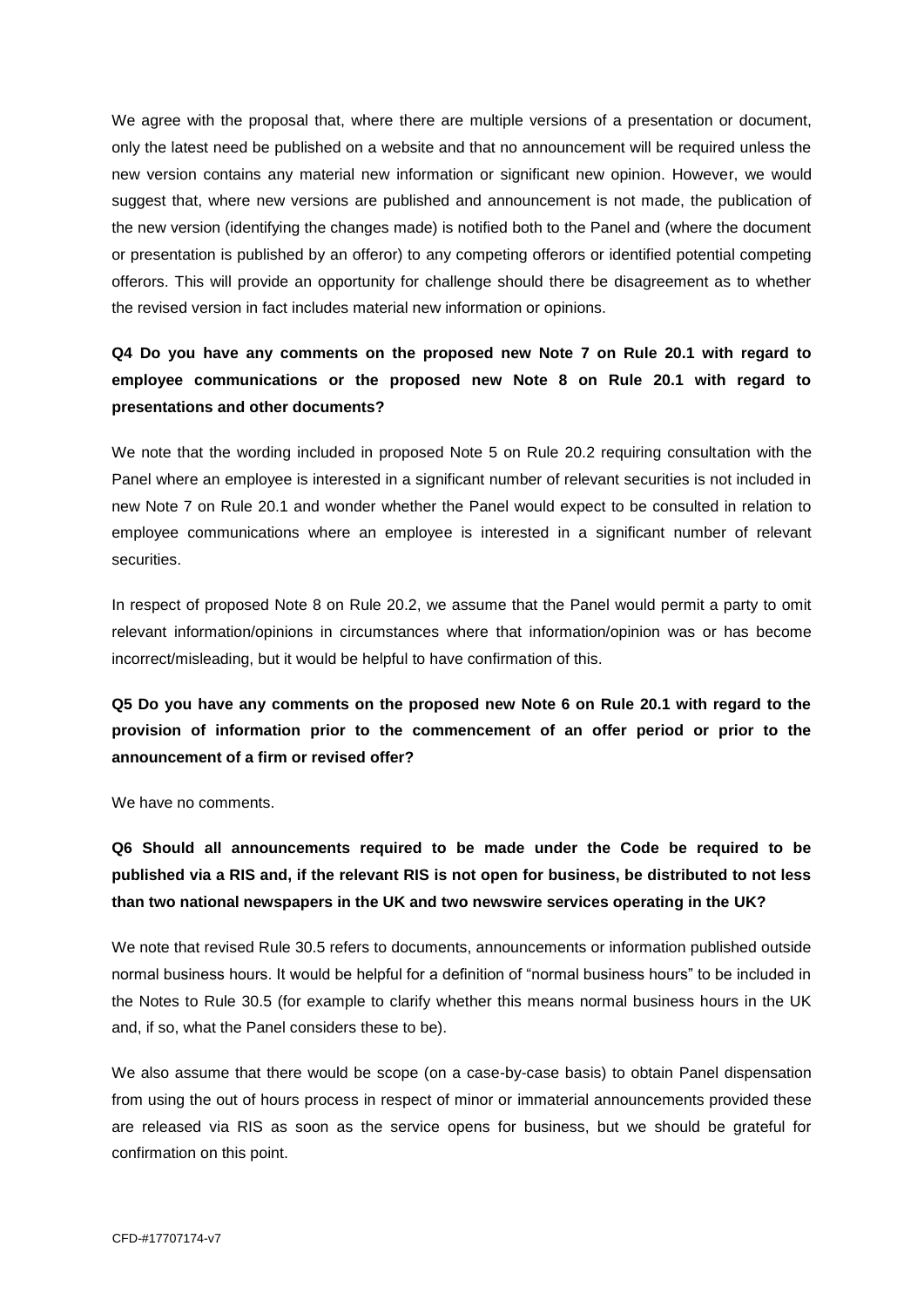We agree with the proposal that, where there are multiple versions of a presentation or document, only the latest need be published on a website and that no announcement will be required unless the new version contains any material new information or significant new opinion. However, we would suggest that, where new versions are published and announcement is not made, the publication of the new version (identifying the changes made) is notified both to the Panel and (where the document or presentation is published by an offeror) to any competing offerors or identified potential competing offerors. This will provide an opportunity for challenge should there be disagreement as to whether the revised version in fact includes material new information or opinions.

# **Q4 Do you have any comments on the proposed new Note 7 on Rule 20.1 with regard to employee communications or the proposed new Note 8 on Rule 20.1 with regard to presentations and other documents?**

We note that the wording included in proposed Note 5 on Rule 20.2 requiring consultation with the Panel where an employee is interested in a significant number of relevant securities is not included in new Note 7 on Rule 20.1 and wonder whether the Panel would expect to be consulted in relation to employee communications where an employee is interested in a significant number of relevant securities.

In respect of proposed Note 8 on Rule 20.2, we assume that the Panel would permit a party to omit relevant information/opinions in circumstances where that information/opinion was or has become incorrect/misleading, but it would be helpful to have confirmation of this.

# **Q5 Do you have any comments on the proposed new Note 6 on Rule 20.1 with regard to the provision of information prior to the commencement of an offer period or prior to the announcement of a firm or revised offer?**

We have no comments.

# **Q6 Should all announcements required to be made under the Code be required to be published via a RIS and, if the relevant RIS is not open for business, be distributed to not less than two national newspapers in the UK and two newswire services operating in the UK?**

We note that revised Rule 30.5 refers to documents, announcements or information published outside normal business hours. It would be helpful for a definition of "normal business hours" to be included in the Notes to Rule 30.5 (for example to clarify whether this means normal business hours in the UK and, if so, what the Panel considers these to be).

We also assume that there would be scope (on a case-by-case basis) to obtain Panel dispensation from using the out of hours process in respect of minor or immaterial announcements provided these are released via RIS as soon as the service opens for business, but we should be grateful for confirmation on this point.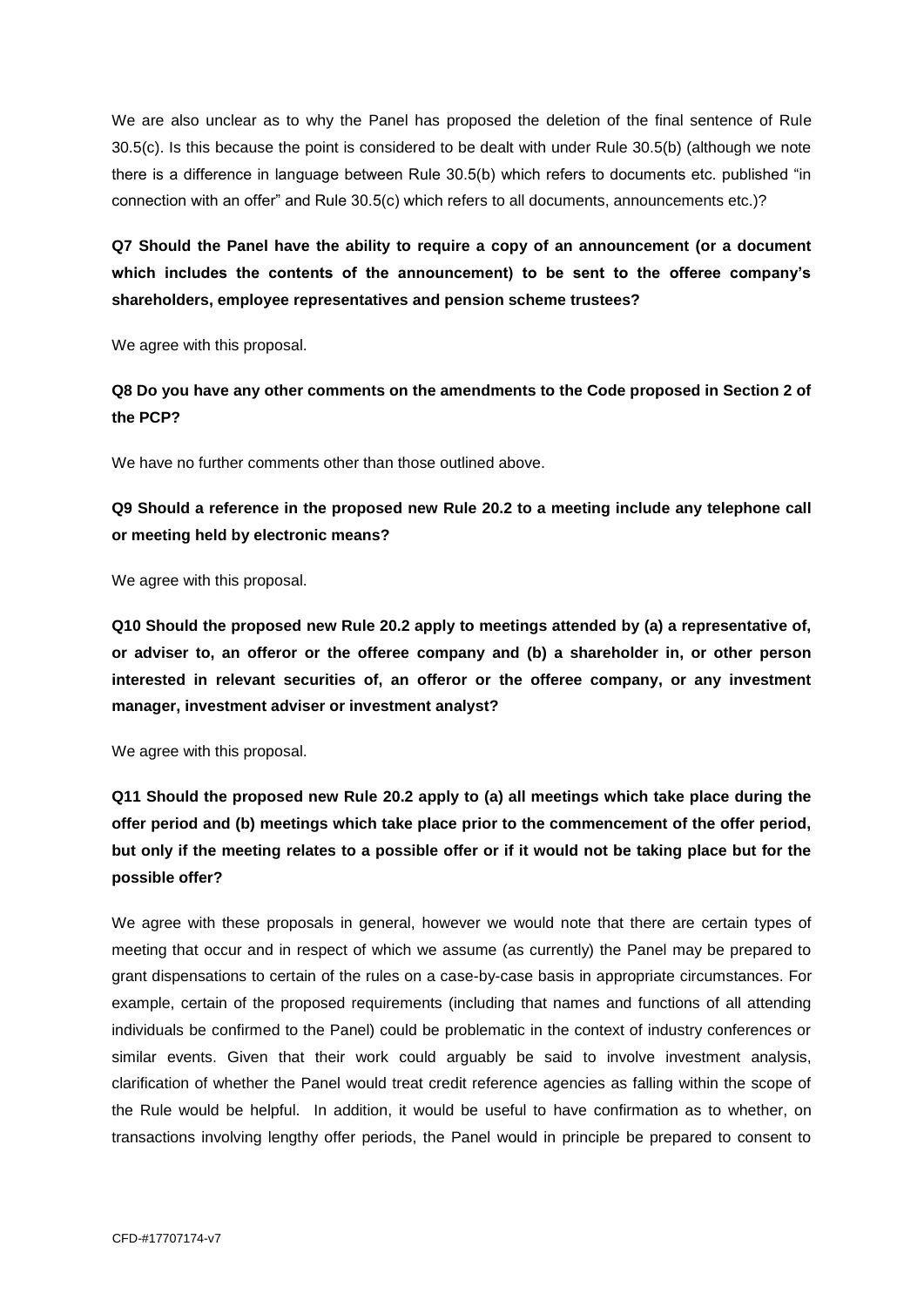We are also unclear as to why the Panel has proposed the deletion of the final sentence of Rule 30.5(c). Is this because the point is considered to be dealt with under Rule 30.5(b) (although we note there is a difference in language between Rule 30.5(b) which refers to documents etc. published "in connection with an offer" and Rule 30.5(c) which refers to all documents, announcements etc.)?

**Q7 Should the Panel have the ability to require a copy of an announcement (or a document which includes the contents of the announcement) to be sent to the offeree company's shareholders, employee representatives and pension scheme trustees?**

We agree with this proposal.

**Q8 Do you have any other comments on the amendments to the Code proposed in Section 2 of the PCP?**

We have no further comments other than those outlined above.

**Q9 Should a reference in the proposed new Rule 20.2 to a meeting include any telephone call or meeting held by electronic means?**

We agree with this proposal.

**Q10 Should the proposed new Rule 20.2 apply to meetings attended by (a) a representative of, or adviser to, an offeror or the offeree company and (b) a shareholder in, or other person interested in relevant securities of, an offeror or the offeree company, or any investment manager, investment adviser or investment analyst?**

We agree with this proposal.

**Q11 Should the proposed new Rule 20.2 apply to (a) all meetings which take place during the offer period and (b) meetings which take place prior to the commencement of the offer period, but only if the meeting relates to a possible offer or if it would not be taking place but for the possible offer?**

We agree with these proposals in general, however we would note that there are certain types of meeting that occur and in respect of which we assume (as currently) the Panel may be prepared to grant dispensations to certain of the rules on a case-by-case basis in appropriate circumstances. For example, certain of the proposed requirements (including that names and functions of all attending individuals be confirmed to the Panel) could be problematic in the context of industry conferences or similar events. Given that their work could arguably be said to involve investment analysis, clarification of whether the Panel would treat credit reference agencies as falling within the scope of the Rule would be helpful. In addition, it would be useful to have confirmation as to whether, on transactions involving lengthy offer periods, the Panel would in principle be prepared to consent to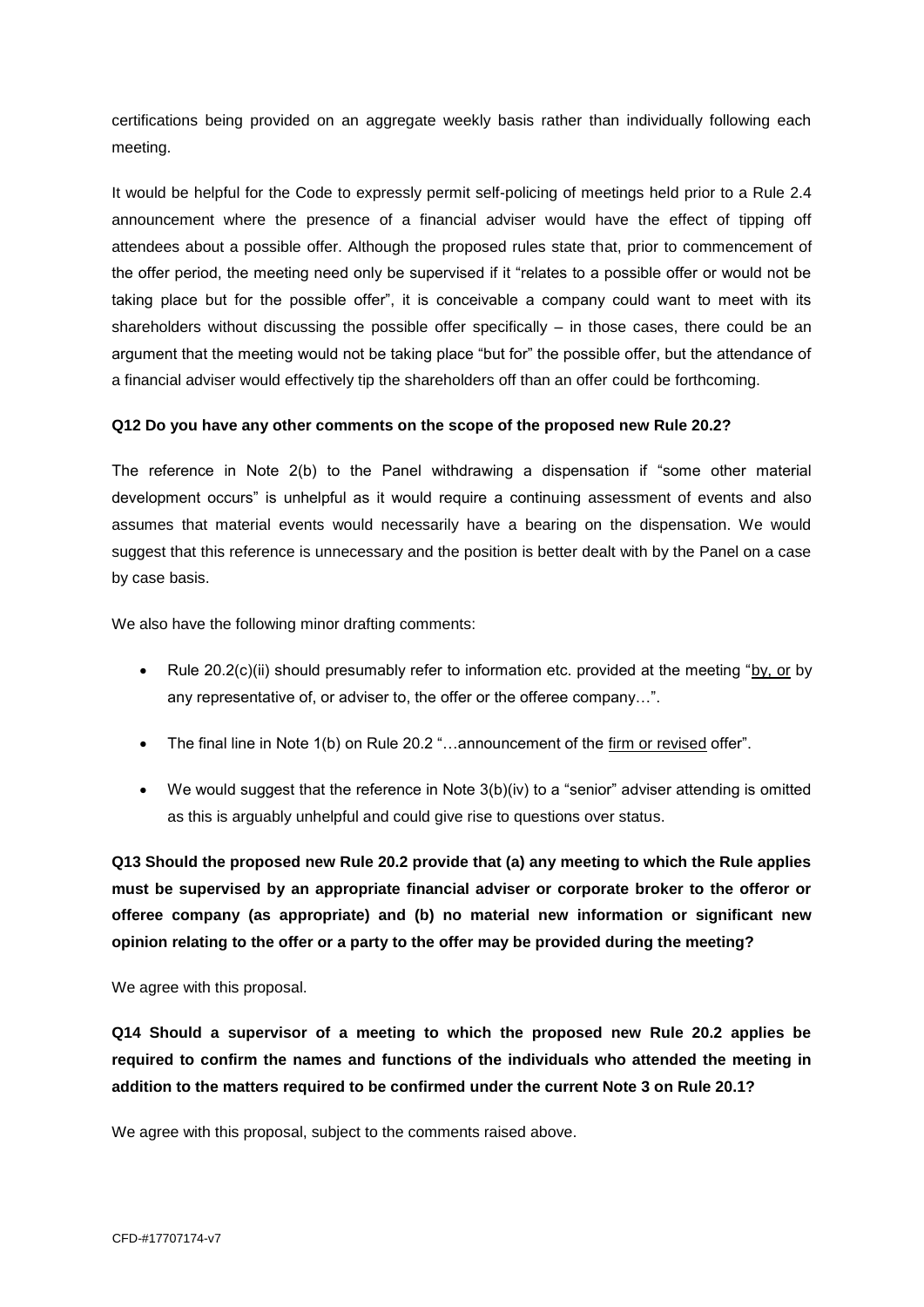certifications being provided on an aggregate weekly basis rather than individually following each meeting.

It would be helpful for the Code to expressly permit self-policing of meetings held prior to a Rule 2.4 announcement where the presence of a financial adviser would have the effect of tipping off attendees about a possible offer. Although the proposed rules state that, prior to commencement of the offer period, the meeting need only be supervised if it "relates to a possible offer or would not be taking place but for the possible offer", it is conceivable a company could want to meet with its shareholders without discussing the possible offer specifically – in those cases, there could be an argument that the meeting would not be taking place "but for" the possible offer, but the attendance of a financial adviser would effectively tip the shareholders off than an offer could be forthcoming.

#### **Q12 Do you have any other comments on the scope of the proposed new Rule 20.2?**

The reference in Note 2(b) to the Panel withdrawing a dispensation if "some other material development occurs" is unhelpful as it would require a continuing assessment of events and also assumes that material events would necessarily have a bearing on the dispensation. We would suggest that this reference is unnecessary and the position is better dealt with by the Panel on a case by case basis.

We also have the following minor drafting comments:

- Rule  $20.2(c)(ii)$  should presumably refer to information etc. provided at the meeting "by, or by any representative of, or adviser to, the offer or the offeree company…".
- The final line in Note 1(b) on Rule 20.2 "...announcement of the firm or revised offer".
- We would suggest that the reference in Note 3(b)(iv) to a "senior" adviser attending is omitted as this is arguably unhelpful and could give rise to questions over status.

**Q13 Should the proposed new Rule 20.2 provide that (a) any meeting to which the Rule applies must be supervised by an appropriate financial adviser or corporate broker to the offeror or offeree company (as appropriate) and (b) no material new information or significant new opinion relating to the offer or a party to the offer may be provided during the meeting?**

We agree with this proposal.

**Q14 Should a supervisor of a meeting to which the proposed new Rule 20.2 applies be required to confirm the names and functions of the individuals who attended the meeting in addition to the matters required to be confirmed under the current Note 3 on Rule 20.1?**

We agree with this proposal, subject to the comments raised above.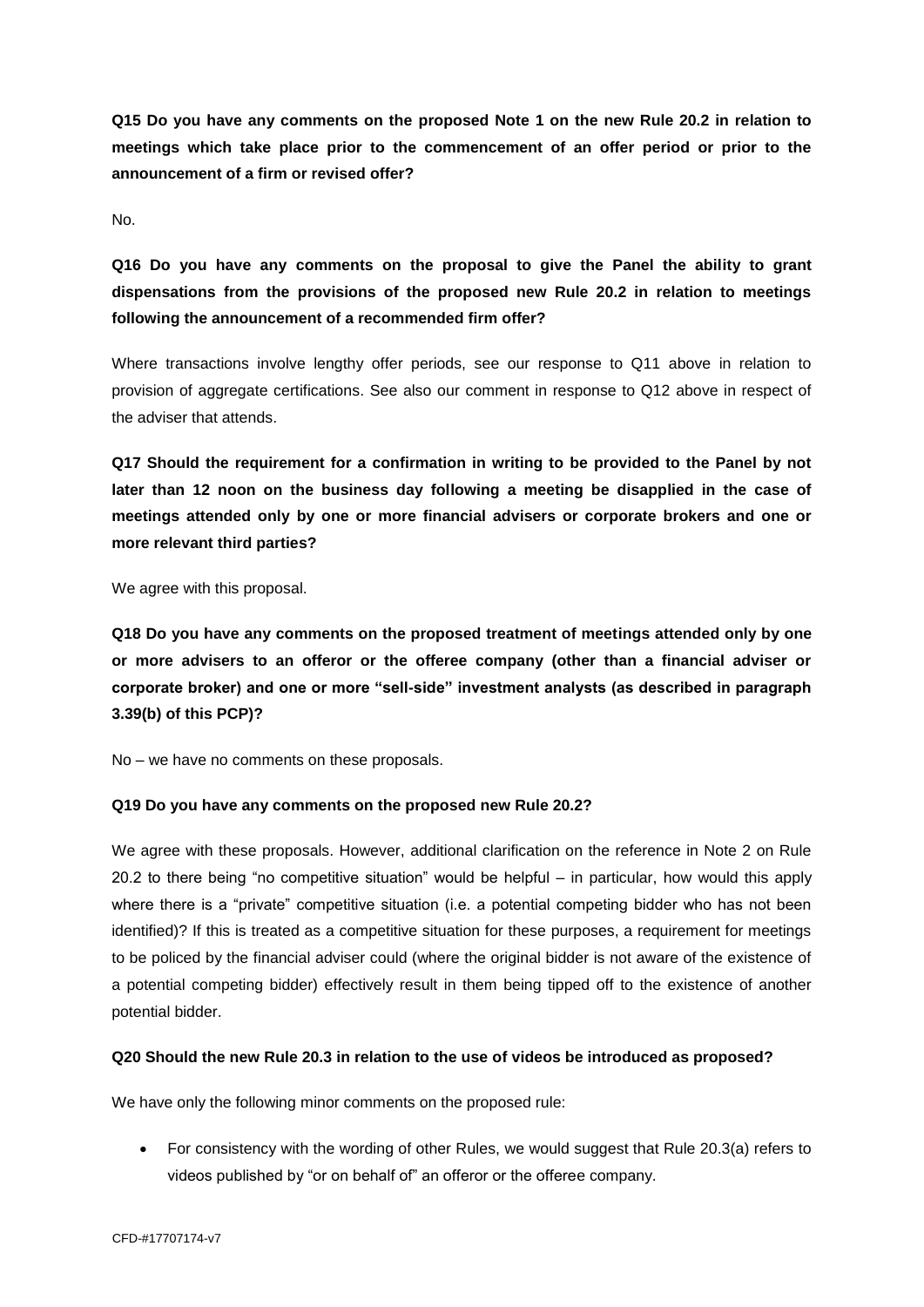**Q15 Do you have any comments on the proposed Note 1 on the new Rule 20.2 in relation to meetings which take place prior to the commencement of an offer period or prior to the announcement of a firm or revised offer?**

No.

**Q16 Do you have any comments on the proposal to give the Panel the ability to grant dispensations from the provisions of the proposed new Rule 20.2 in relation to meetings following the announcement of a recommended firm offer?**

Where transactions involve lengthy offer periods, see our response to Q11 above in relation to provision of aggregate certifications. See also our comment in response to Q12 above in respect of the adviser that attends.

**Q17 Should the requirement for a confirmation in writing to be provided to the Panel by not later than 12 noon on the business day following a meeting be disapplied in the case of meetings attended only by one or more financial advisers or corporate brokers and one or more relevant third parties?**

We agree with this proposal.

**Q18 Do you have any comments on the proposed treatment of meetings attended only by one or more advisers to an offeror or the offeree company (other than a financial adviser or corporate broker) and one or more "sell-side" investment analysts (as described in paragraph 3.39(b) of this PCP)?**

No – we have no comments on these proposals.

#### **Q19 Do you have any comments on the proposed new Rule 20.2?**

We agree with these proposals. However, additional clarification on the reference in Note 2 on Rule 20.2 to there being "no competitive situation" would be helpful – in particular, how would this apply where there is a "private" competitive situation (i.e. a potential competing bidder who has not been identified)? If this is treated as a competitive situation for these purposes, a requirement for meetings to be policed by the financial adviser could (where the original bidder is not aware of the existence of a potential competing bidder) effectively result in them being tipped off to the existence of another potential bidder.

#### **Q20 Should the new Rule 20.3 in relation to the use of videos be introduced as proposed?**

We have only the following minor comments on the proposed rule:

 For consistency with the wording of other Rules, we would suggest that Rule 20.3(a) refers to videos published by "or on behalf of" an offeror or the offeree company.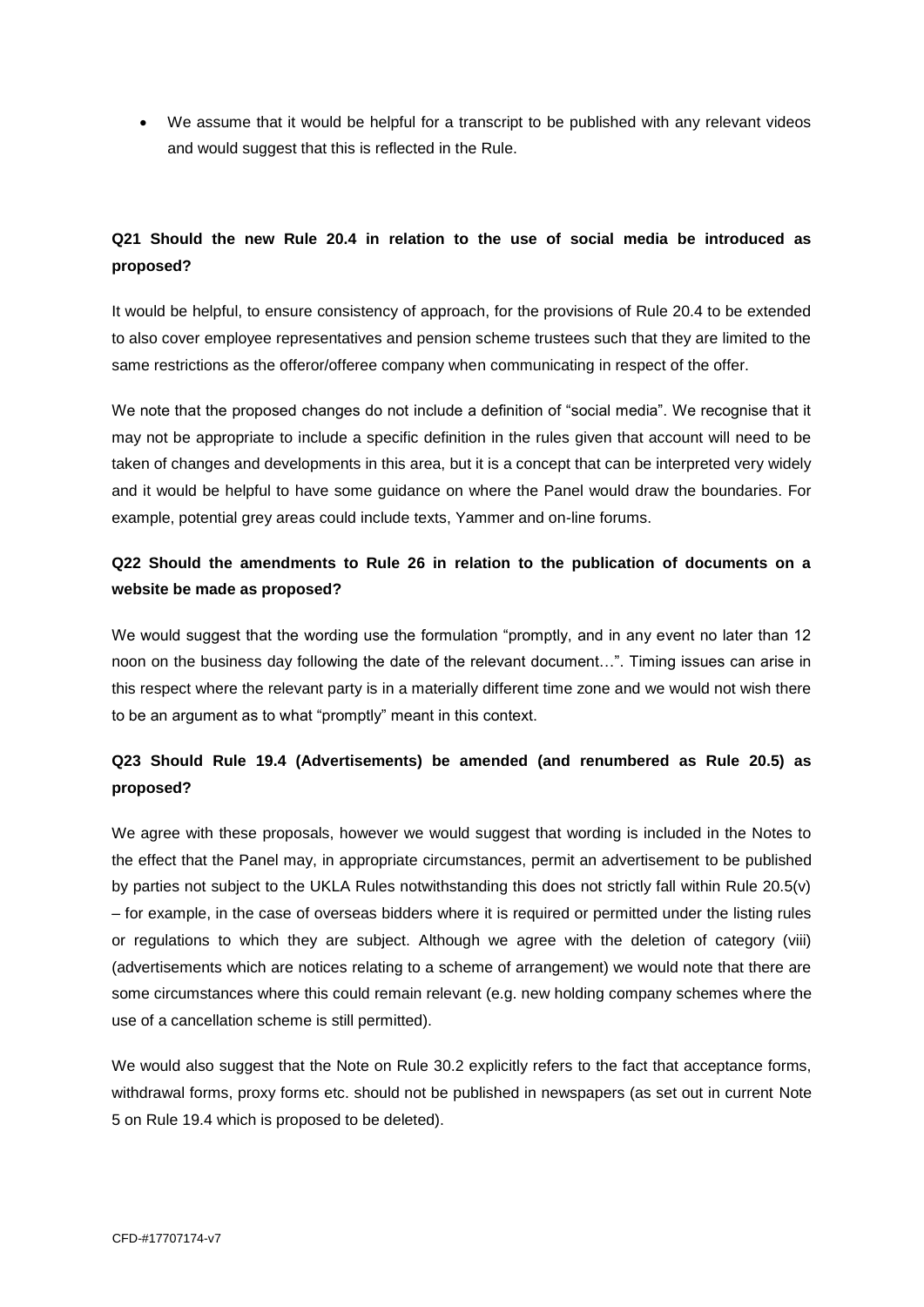We assume that it would be helpful for a transcript to be published with any relevant videos and would suggest that this is reflected in the Rule.

### **Q21 Should the new Rule 20.4 in relation to the use of social media be introduced as proposed?**

It would be helpful, to ensure consistency of approach, for the provisions of Rule 20.4 to be extended to also cover employee representatives and pension scheme trustees such that they are limited to the same restrictions as the offeror/offeree company when communicating in respect of the offer.

We note that the proposed changes do not include a definition of "social media". We recognise that it may not be appropriate to include a specific definition in the rules given that account will need to be taken of changes and developments in this area, but it is a concept that can be interpreted very widely and it would be helpful to have some guidance on where the Panel would draw the boundaries. For example, potential grey areas could include texts, Yammer and on-line forums.

## **Q22 Should the amendments to Rule 26 in relation to the publication of documents on a website be made as proposed?**

We would suggest that the wording use the formulation "promptly, and in any event no later than 12 noon on the business day following the date of the relevant document…". Timing issues can arise in this respect where the relevant party is in a materially different time zone and we would not wish there to be an argument as to what "promptly" meant in this context.

## **Q23 Should Rule 19.4 (Advertisements) be amended (and renumbered as Rule 20.5) as proposed?**

We agree with these proposals, however we would suggest that wording is included in the Notes to the effect that the Panel may, in appropriate circumstances, permit an advertisement to be published by parties not subject to the UKLA Rules notwithstanding this does not strictly fall within Rule 20.5(v) – for example, in the case of overseas bidders where it is required or permitted under the listing rules or regulations to which they are subject. Although we agree with the deletion of category (viii) (advertisements which are notices relating to a scheme of arrangement) we would note that there are some circumstances where this could remain relevant (e.g. new holding company schemes where the use of a cancellation scheme is still permitted).

We would also suggest that the Note on Rule 30.2 explicitly refers to the fact that acceptance forms, withdrawal forms, proxy forms etc. should not be published in newspapers (as set out in current Note 5 on Rule 19.4 which is proposed to be deleted).